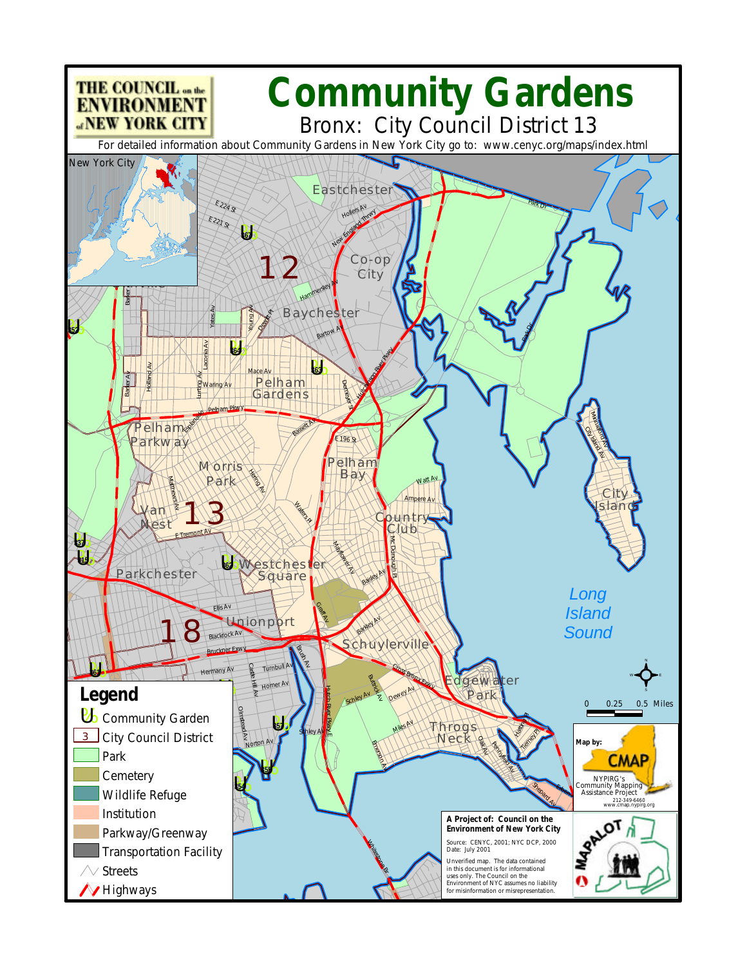